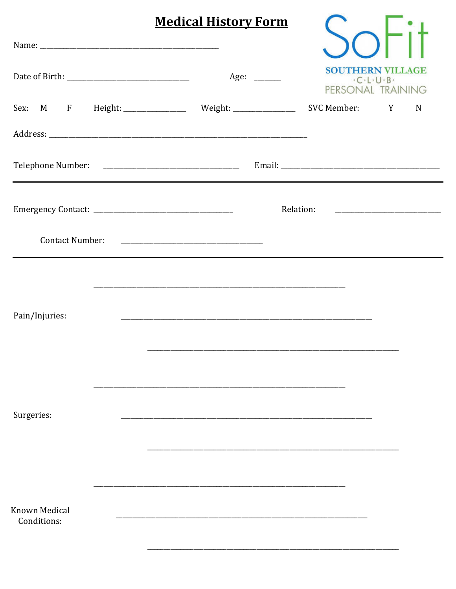|                                     | <b>Medical History Form</b>                            |           |               |                                                                              |
|-------------------------------------|--------------------------------------------------------|-----------|---------------|------------------------------------------------------------------------------|
|                                     |                                                        |           |               |                                                                              |
|                                     | Age: _______                                           |           |               | <b>SOUTHERN VILLAGE</b><br>$-C \cdot L \cdot U \cdot B$<br>PERSONAL TRAINING |
|                                     | Sex: M F Height: ______________ Weight: ______________ |           | SVC Member: Y | N                                                                            |
|                                     |                                                        |           |               |                                                                              |
|                                     |                                                        |           |               |                                                                              |
| <b>Contact Number:</b>              |                                                        | Relation: |               |                                                                              |
| Pain/Injuries:                      |                                                        |           |               |                                                                              |
| Surgeries:                          |                                                        |           |               |                                                                              |
| <b>Known Medical</b><br>Conditions: |                                                        |           |               |                                                                              |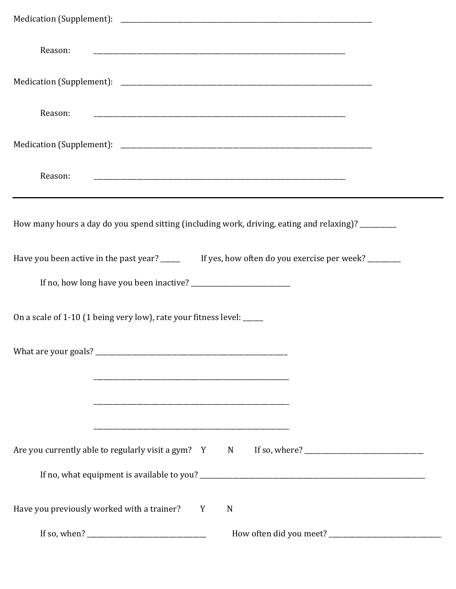| Reason:                                                                                              |  |  |  |  |  |  |
|------------------------------------------------------------------------------------------------------|--|--|--|--|--|--|
|                                                                                                      |  |  |  |  |  |  |
| Reason:                                                                                              |  |  |  |  |  |  |
|                                                                                                      |  |  |  |  |  |  |
| Reason:                                                                                              |  |  |  |  |  |  |
| How many hours a day do you spend sitting (including work, driving, eating and relaxing)? ________   |  |  |  |  |  |  |
| Have you been active in the past year? _______ If yes, how often do you exercise per week? ________  |  |  |  |  |  |  |
|                                                                                                      |  |  |  |  |  |  |
| On a scale of 1-10 (1 being very low), rate your fitness level: _____                                |  |  |  |  |  |  |
|                                                                                                      |  |  |  |  |  |  |
|                                                                                                      |  |  |  |  |  |  |
|                                                                                                      |  |  |  |  |  |  |
| Are you currently able to regularly visit a gym? Y N If so, where? _________________________________ |  |  |  |  |  |  |
| Have you previously worked with a trainer? Y<br>N                                                    |  |  |  |  |  |  |
|                                                                                                      |  |  |  |  |  |  |